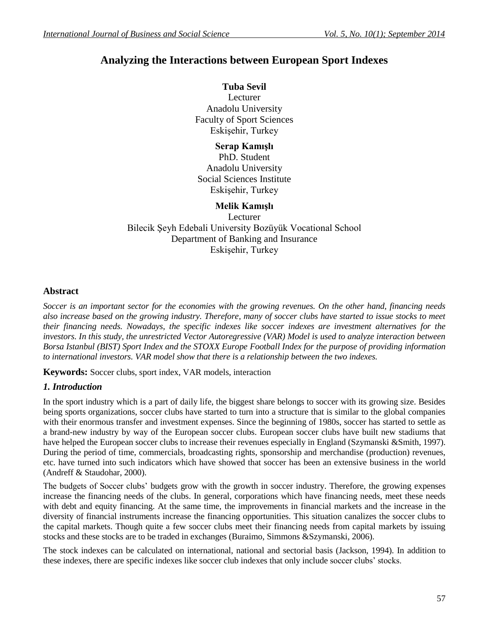# **Analyzing the Interactions between European Sport Indexes**

# **Tuba Sevil**

Lecturer Anadolu University Faculty of Sport Sciences Eskişehir, Turkey

# **Serap Kamışlı**

PhD. Student Anadolu University Social Sciences Institute Eskişehir, Turkey

# **Melik Kamışlı**

Lecturer Bilecik Şeyh Edebali University Bozüyük Vocational School Department of Banking and Insurance Eskişehir, Turkey

### **Abstract**

*Soccer is an important sector for the economies with the growing revenues. On the other hand, financing needs also increase based on the growing industry. Therefore, many of soccer clubs have started to issue stocks to meet their financing needs. Nowadays, the specific indexes like soccer indexes are investment alternatives for the investors. In this study, the unrestricted Vector Autoregressive (VAR) Model is used to analyze interaction between Borsa Istanbul (BIST) Sport Index and the STOXX Europe Football Index for the purpose of providing information to international investors. VAR model show that there is a relationship between the two indexes.*

**Keywords:** Soccer clubs, sport index, VAR models, interaction

# *1. Introduction*

In the sport industry which is a part of daily life, the biggest share belongs to soccer with its growing size. Besides being sports organizations, soccer clubs have started to turn into a structure that is similar to the global companies with their enormous transfer and investment expenses. Since the beginning of 1980s, soccer has started to settle as a brand-new industry by way of the European soccer clubs. European soccer clubs have built new stadiums that have helped the European soccer clubs to increase their revenues especially in England (Szymanski &Smith, 1997). During the period of time, commercials, broadcasting rights, sponsorship and merchandise (production) revenues, etc. have turned into such indicators which have showed that soccer has been an extensive business in the world (Andreff & Staudohar, 2000).

The budgets of Soccer clubs' budgets grow with the growth in soccer industry. Therefore, the growing expenses increase the financing needs of the clubs. In general, corporations which have financing needs, meet these needs with debt and equity financing. At the same time, the improvements in financial markets and the increase in the diversity of financial instruments increase the financing opportunities. This situation canalizes the soccer clubs to the capital markets. Though quite a few soccer clubs meet their financing needs from capital markets by issuing stocks and these stocks are to be traded in exchanges (Buraimo, Simmons &Szymanski, 2006).

The stock indexes can be calculated on international, national and sectorial basis (Jackson, 1994). In addition to these indexes, there are specific indexes like soccer club indexes that only include soccer clubs' stocks.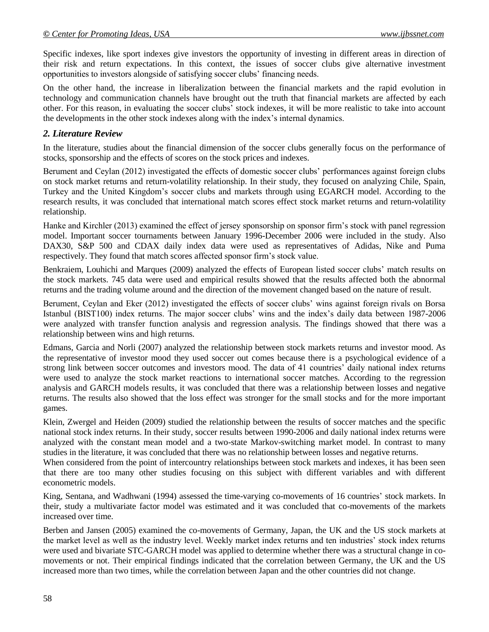Specific indexes, like sport indexes give investors the opportunity of investing in different areas in direction of their risk and return expectations. In this context, the issues of soccer clubs give alternative investment opportunities to investors alongside of satisfying soccer clubs' financing needs.

On the other hand, the increase in liberalization between the financial markets and the rapid evolution in technology and communication channels have brought out the truth that financial markets are affected by each other. For this reason, in evaluating the soccer clubs' stock indexes, it will be more realistic to take into account the developments in the other stock indexes along with the index's internal dynamics.

#### *2. Literature Review*

In the literature, studies about the financial dimension of the soccer clubs generally focus on the performance of stocks, sponsorship and the effects of scores on the stock prices and indexes.

Berument and Ceylan (2012) investigated the effects of domestic soccer clubs' performances against foreign clubs on stock market returns and return-volatility relationship. In their study, they focused on analyzing Chile, Spain, Turkey and the United Kingdom's soccer clubs and markets through using EGARCH model. According to the research results, it was concluded that international match scores effect stock market returns and return-volatility relationship.

Hanke and Kirchler (2013) examined the effect of jersey sponsorship on sponsor firm's stock with panel regression model. Important soccer tournaments between January 1996-December 2006 were included in the study. Also DAX30, S&P 500 and CDAX daily index data were used as representatives of Adidas, Nike and Puma respectively. They found that match scores affected sponsor firm's stock value.

Benkraiem, Louhichi and Marques (2009) analyzed the effects of European listed soccer clubs' match results on the stock markets. 745 data were used and empirical results showed that the results affected both the abnormal returns and the trading volume around and the direction of the movement changed based on the nature of result.

Berument, Ceylan and Eker (2012) investigated the effects of soccer clubs' wins against foreign rivals on Borsa Istanbul (BIST100) index returns. The major soccer clubs' wins and the index's daily data between 1987-2006 were analyzed with transfer function analysis and regression analysis. The findings showed that there was a relationship between wins and high returns.

Edmans, Garcia and Norli (2007) analyzed the relationship between stock markets returns and investor mood. As the representative of investor mood they used soccer out comes because there is a psychological evidence of a strong link between soccer outcomes and investors mood. The data of 41 countries' daily national index returns were used to analyze the stock market reactions to international soccer matches. According to the regression analysis and GARCH models results, it was concluded that there was a relationship between losses and negative returns. The results also showed that the loss effect was stronger for the small stocks and for the more important games.

Klein, Zwergel and Heiden (2009) studied the relationship between the results of soccer matches and the specific national stock index returns. In their study, soccer results between 1990-2006 and daily national index returns were analyzed with the constant mean model and a two-state Markov-switching market model. In contrast to many studies in the literature, it was concluded that there was no relationship between losses and negative returns.

When considered from the point of intercountry relationships between stock markets and indexes, it has been seen that there are too many other studies focusing on this subject with different variables and with different econometric models.

King, Sentana, and Wadhwani (1994) assessed the time-varying co-movements of 16 countries' stock markets. In their, study a multivariate factor model was estimated and it was concluded that co-movements of the markets increased over time.

Berben and Jansen (2005) examined the co-movements of Germany, Japan, the UK and the US stock markets at the market level as well as the industry level. Weekly market index returns and ten industries' stock index returns were used and bivariate STC-GARCH model was applied to determine whether there was a structural change in comovements or not. Their empirical findings indicated that the correlation between Germany, the UK and the US increased more than two times, while the correlation between Japan and the other countries did not change.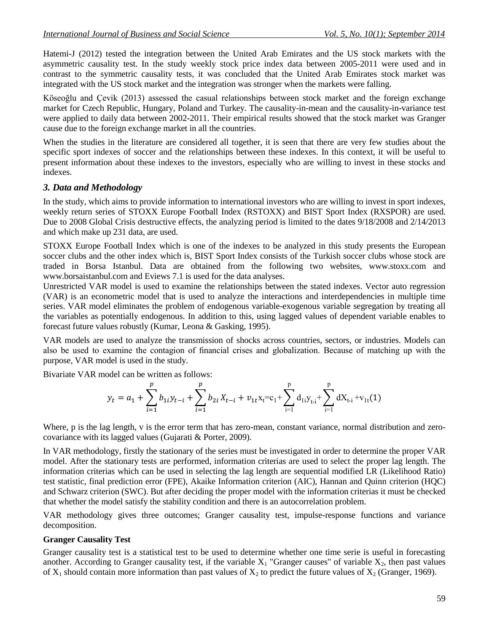Hatemi-J (2012) tested the integration between the United Arab Emirates and the US stock markets with the asymmetric causality test. In the study weekly stock price index data between 2005-2011 were used and in contrast to the symmetric causality tests, it was concluded that the United Arab Emirates stock market was integrated with the US stock market and the integration was stronger when the markets were falling.

Köseoğlu and Çevik (2013) assessed the casual relationships between stock market and the foreign exchange market for Czech Republic, Hungary, Poland and Turkey. The causality-in-mean and the causality-in-variance test were applied to daily data between 2002-2011. Their empirical results showed that the stock market was Granger cause due to the foreign exchange market in all the countries.

When the studies in the literature are considered all together, it is seen that there are very few studies about the specific sport indexes of soccer and the relationships between these indexes. In this context, it will be useful to present information about these indexes to the investors, especially who are willing to invest in these stocks and indexes.

### *3. Data and Methodology*

In the study, which aims to provide information to international investors who are willing to invest in sport indexes, weekly return series of STOXX Europe Football Index (RSTOXX) and BIST Sport Index (RXSPOR) are used. Due to 2008 Global Crisis destructive effects, the analyzing period is limited to the dates 9/18/2008 and 2/14/2013 and which make up 231 data, are used.

STOXX Europe Football Index which is one of the indexes to be analyzed in this study presents the European soccer clubs and the other index which is, BIST Sport Index consists of the Turkish soccer clubs whose stock are traded in Borsa Istanbul. Data are obtained from the following two websites, www.stoxx.com and [www.borsaistanbul.com](http://www.borsaistanbul.com/) and Eviews 7.1 is used for the data analyses.

Unrestricted VAR model is used to examine the relationships between the stated indexes. Vector auto regression (VAR) is an econometric model that is used to analyze the interactions and interdependencies in multiple time series. VAR model eliminates the problem of endogenous variable-exogenous variable segregation by treating all the variables as potentially endogenous. In addition to this, using lagged values of dependent variable enables to forecast future values robustly (Kumar, Leona & Gasking, 1995).

VAR models are used to analyze the transmission of shocks across countries, sectors, or industries. Models can also be used to examine the contagion of financial crises and globalization. Because of matching up with the purpose, VAR model is used in the study.

Bivariate VAR model can be written as follows:

$$
y_{t} = a_{1} + \sum_{i=1}^{p} b_{1i} y_{t-i} + \sum_{i=1}^{p} b_{2i} X_{t-i} + v_{1t} x_{t} = c_{1} + \sum_{i=1}^{p} d_{1i} y_{t-i} + \sum_{i=1}^{p} d X_{t-i} + v_{1t}(1)
$$

Where, p is the lag length, y is the error term that has zero-mean, constant variance, normal distribution and zerocovariance with its lagged values (Gujarati & Porter, 2009).

In VAR methodology, firstly the stationary of the series must be investigated in order to determine the proper VAR model. After the stationary tests are performed, information criterias are used to select the proper lag length. The information criterias which can be used in selecting the lag length are sequential modified LR (Likelihood Ratio) test statistic, final prediction error (FPE), Akaike Information criterion (AIC), Hannan and Quinn criterion (HQC) and Schwarz criterion (SWC). But after deciding the proper model with the information criterias it must be checked that whether the model satisfy the stability condition and there is an autocorrelation problem.

VAR methodology gives three outcomes; Granger causality test, impulse-response functions and variance decomposition.

#### **Granger Causality Test**

Granger causality test is a statistical test to be used to determine whether one time serie is useful in forecasting another. According to Granger causality test, if the variable  $X_1$  "Granger causes" of variable  $X_2$ , then past values of  $X_1$  should contain more information than past values of  $X_2$  to predict the future values of  $X_2$  (Granger, 1969).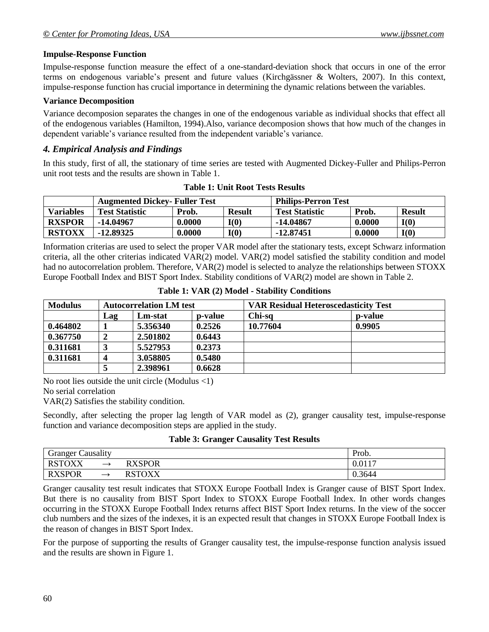#### **Impulse-Response Function**

Impulse-response function measure the effect of a one-standard-deviation shock that occurs in one of the error terms on endogenous variable's present and future values (Kirchgässner & Wolters, 2007). In this context, impulse-response function has crucial importance in determining the dynamic relations between the variables.

#### **Variance Decomposition**

Variance decomposion separates the changes in one of the endogenous variable as individual shocks that effect all of the endogenous variables (Hamilton, 1994).Also, variance decomposion shows that how much of the changes in dependent variable's variance resulted from the independent variable's variance.

### *4. Empirical Analysis and Findings*

In this study, first of all, the stationary of time series are tested with Augmented Dickey-Fuller and Philips-Perron unit root tests and the results are shown in Table 1.

|               | <b>Augmented Dickey- Fuller Test</b> |        |               | <b>Philips-Perron Test</b> |        |               |
|---------------|--------------------------------------|--------|---------------|----------------------------|--------|---------------|
| Variables     | <b>Test Statistic</b>                | Prob.  | <b>Result</b> | <b>Test Statistic</b>      | Prob.  | <b>Result</b> |
| <b>RXSPOR</b> | -14.04967                            | 0.0000 | I(O)          | $-14.04867$                | 0.0000 | I(0)          |
| <b>RSTOXX</b> | -12.89325                            | 0.0000 | I(0)          | $-12.87451$                | 0.0000 | I(0)          |

**Table 1: Unit Root Tests Results**

Information criterias are used to select the proper VAR model after the stationary tests, except Schwarz information criteria, all the other criterias indicated VAR(2) model. VAR(2) model satisfied the stability condition and model had no autocorrelation problem. Therefore, VAR(2) model is selected to analyze the relationships between STOXX Europe Football Index and BIST Sport Index. Stability conditions of VAR(2) model are shown in Table 2.

| <b>Modulus</b> |     | <b>Autocorrelation LM test</b> |                | <b>VAR Residual Heteroscedasticity Test</b> |                 |  |
|----------------|-----|--------------------------------|----------------|---------------------------------------------|-----------------|--|
|                | Lag | Lm-stat                        | <b>p-value</b> | Chi-sq                                      | <b>p</b> -value |  |
| 0.464802       |     | 5.356340                       | 0.2526         | 10.77604                                    | 0.9905          |  |
| 0.367750       |     | 2.501802                       | 0.6443         |                                             |                 |  |
| 0.311681       |     | 5.527953                       | 0.2373         |                                             |                 |  |
| 0.311681       |     | 3.058805                       | 0.5480         |                                             |                 |  |
|                |     | 2.398961                       | 0.6628         |                                             |                 |  |

**Table 1: VAR (2) Model - Stability Conditions**

No root lies outside the unit circle (Modulus <1)

No serial correlation

VAR(2) Satisfies the stability condition.

Secondly, after selecting the proper lag length of VAR model as (2), granger causality test, impulse-response function and variance decomposition steps are applied in the study.

#### **Table 3: Granger Causality Test Results**

| $\sim$<br><b>Causality</b><br>Granger |                          |                                        | Prob.  |
|---------------------------------------|--------------------------|----------------------------------------|--------|
| <b>RSTOXX</b>                         | $\rightarrow$            | <b>RXSPOR</b><br>AA S                  | 0.0117 |
| <b>RXSPOR</b>                         | $\overline{\phantom{0}}$ | <b>RSTOVY</b><br>$\Lambda\Lambda$<br>w | 0.3644 |

Granger causality test result indicates that STOXX Europe Football Index is Granger cause of BIST Sport Index. But there is no causality from BIST Sport Index to STOXX Europe Football Index. In other words changes occurring in the STOXX Europe Football Index returns affect BIST Sport Index returns. In the view of the soccer club numbers and the sizes of the indexes, it is an expected result that changes in STOXX Europe Football Index is the reason of changes in BIST Sport Index.

For the purpose of supporting the results of Granger causality test, the impulse-response function analysis issued and the results are shown in Figure 1.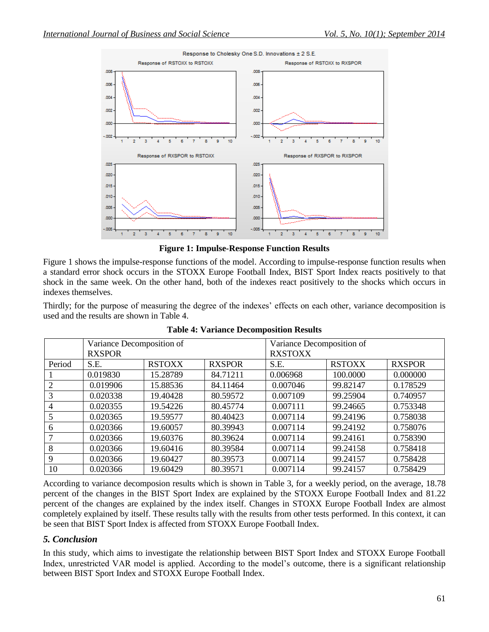

**Figure 1: Impulse-Response Function Results**

Figure 1 shows the impulse-response functions of the model. According to impulse-response function results when a standard error shock occurs in the STOXX Europe Football Index, BIST Sport Index reacts positively to that shock in the same week. On the other hand, both of the indexes react positively to the shocks which occurs in indexes themselves.

Thirdly; for the purpose of measuring the degree of the indexes' effects on each other, variance decomposition is used and the results are shown in Table 4.

|        | Variance Decomposition of |               |               | Variance Decomposition of |               |               |
|--------|---------------------------|---------------|---------------|---------------------------|---------------|---------------|
|        | <b>RXSPOR</b>             |               |               | <b>RXSTOXX</b>            |               |               |
| Period | S.E.                      | <b>RSTOXX</b> | <b>RXSPOR</b> | S.E.                      | <b>RSTOXX</b> | <b>RXSPOR</b> |
|        | 0.019830                  | 15.28789      | 84.71211      | 0.006968                  | 100.0000      | 0.000000      |
| 2      | 0.019906                  | 15.88536      | 84.11464      | 0.007046                  | 99.82147      | 0.178529      |
| 3      | 0.020338                  | 19.40428      | 80.59572      | 0.007109                  | 99.25904      | 0.740957      |
| 4      | 0.020355                  | 19.54226      | 80.45774      | 0.007111                  | 99.24665      | 0.753348      |
|        | 0.020365                  | 19.59577      | 80.40423      | 0.007114                  | 99.24196      | 0.758038      |
| 6      | 0.020366                  | 19.60057      | 80.39943      | 0.007114                  | 99.24192      | 0.758076      |
|        | 0.020366                  | 19.60376      | 80.39624      | 0.007114                  | 99.24161      | 0.758390      |
| 8      | 0.020366                  | 19.60416      | 80.39584      | 0.007114                  | 99.24158      | 0.758418      |
| 9      | 0.020366                  | 19.60427      | 80.39573      | 0.007114                  | 99.24157      | 0.758428      |
| 10     | 0.020366                  | 19.60429      | 80.39571      | 0.007114                  | 99.24157      | 0.758429      |

**Table 4: Variance Decomposition Results**

According to variance decomposion results which is shown in Table 3, for a weekly period, on the average, 18.78 percent of the changes in the BIST Sport Index are explained by the STOXX Europe Football Index and 81.22 percent of the changes are explained by the index itself. Changes in STOXX Europe Football Index are almost completely explained by itself. These results tally with the results from other tests performed. In this context, it can be seen that BIST Sport Index is affected from STOXX Europe Football Index.

# *5. Conclusion*

In this study, which aims to investigate the relationship between BIST Sport Index and STOXX Europe Football Index, unrestricted VAR model is applied. According to the model's outcome, there is a significant relationship between BIST Sport Index and STOXX Europe Football Index.